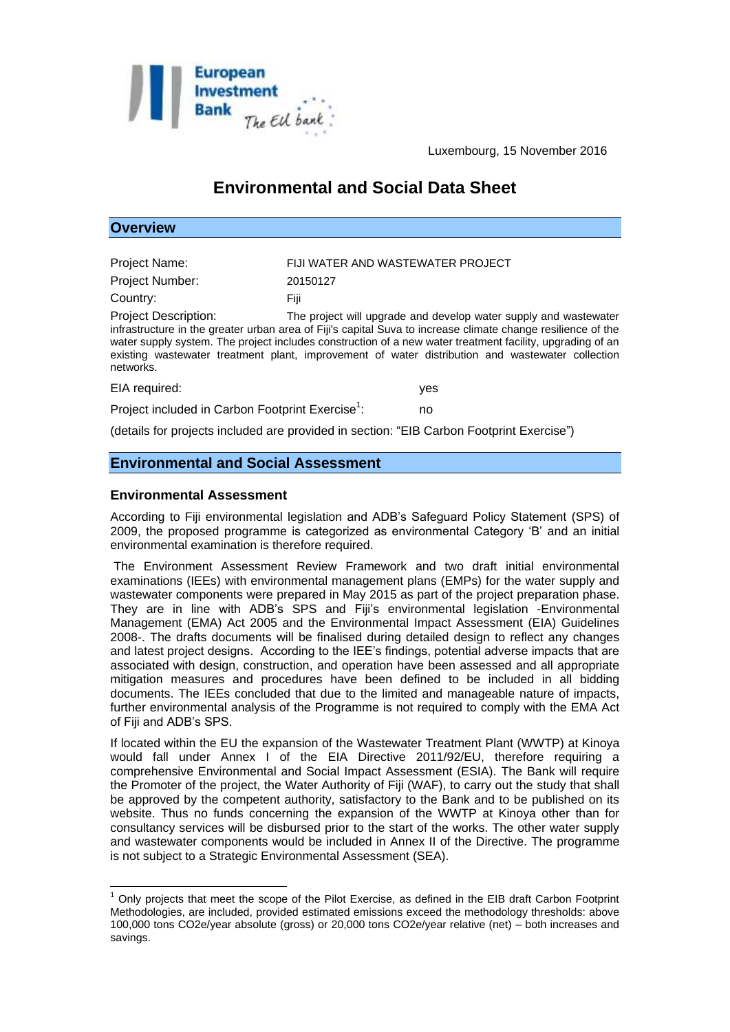

Luxembourg, 15 November 2016

# **Environmental and Social Data Sheet**

| <b>Overview</b>                                                                                                                                                                                                                                                                                                                                                                                                                               |                                   |
|-----------------------------------------------------------------------------------------------------------------------------------------------------------------------------------------------------------------------------------------------------------------------------------------------------------------------------------------------------------------------------------------------------------------------------------------------|-----------------------------------|
|                                                                                                                                                                                                                                                                                                                                                                                                                                               |                                   |
| <b>Project Name:</b>                                                                                                                                                                                                                                                                                                                                                                                                                          | FIJI WATER AND WASTEWATER PROJECT |
| <b>Project Number:</b>                                                                                                                                                                                                                                                                                                                                                                                                                        | 20150127                          |
| Country:                                                                                                                                                                                                                                                                                                                                                                                                                                      | Fiji                              |
| <b>Project Description:</b><br>The project will upgrade and develop water supply and wastewater<br>infrastructure in the greater urban area of Fiji's capital Suva to increase climate change resilience of the<br>water supply system. The project includes construction of a new water treatment facility, upgrading of an<br>existing wastewater treatment plant, improvement of water distribution and wastewater collection<br>networks. |                                   |
| EIA required:                                                                                                                                                                                                                                                                                                                                                                                                                                 | yes                               |
| Project included in Carbon Footprint Exercise <sup>1</sup> :<br>no                                                                                                                                                                                                                                                                                                                                                                            |                                   |
| (details for projects included are provided in section: "EIB Carbon Footprint Exercise")                                                                                                                                                                                                                                                                                                                                                      |                                   |

## **Environmental and Social Assessment**

#### **Environmental Assessment**

1

According to Fiji environmental legislation and ADB's Safeguard Policy Statement (SPS) of 2009, the proposed programme is categorized as environmental Category 'B' and an initial environmental examination is therefore required.

The Environment Assessment Review Framework and two draft initial environmental examinations (IEEs) with environmental management plans (EMPs) for the water supply and wastewater components were prepared in May 2015 as part of the project preparation phase. They are in line with ADB's SPS and Fiji's environmental legislation -Environmental Management (EMA) Act 2005 and the Environmental Impact Assessment (EIA) Guidelines 2008-. The drafts documents will be finalised during detailed design to reflect any changes and latest project designs. According to the IEE's findings, potential adverse impacts that are associated with design, construction, and operation have been assessed and all appropriate mitigation measures and procedures have been defined to be included in all bidding documents. The IEEs concluded that due to the limited and manageable nature of impacts, further environmental analysis of the Programme is not required to comply with the EMA Act of Fiji and ADB's SPS.

If located within the EU the expansion of the Wastewater Treatment Plant (WWTP) at Kinoya would fall under Annex I of the EIA Directive 2011/92/EU, therefore requiring a comprehensive Environmental and Social Impact Assessment (ESIA). The Bank will require the Promoter of the project, the Water Authority of Fiji (WAF), to carry out the study that shall be approved by the competent authority, satisfactory to the Bank and to be published on its website. Thus no funds concerning the expansion of the WWTP at Kinoya other than for consultancy services will be disbursed prior to the start of the works. The other water supply and wastewater components would be included in Annex II of the Directive. The programme is not subject to a Strategic Environmental Assessment (SEA).

 $<sup>1</sup>$  Only projects that meet the scope of the Pilot Exercise, as defined in the EIB draft Carbon Footprint</sup> Methodologies, are included, provided estimated emissions exceed the methodology thresholds: above 100,000 tons CO2e/year absolute (gross) or 20,000 tons CO2e/year relative (net) – both increases and savings.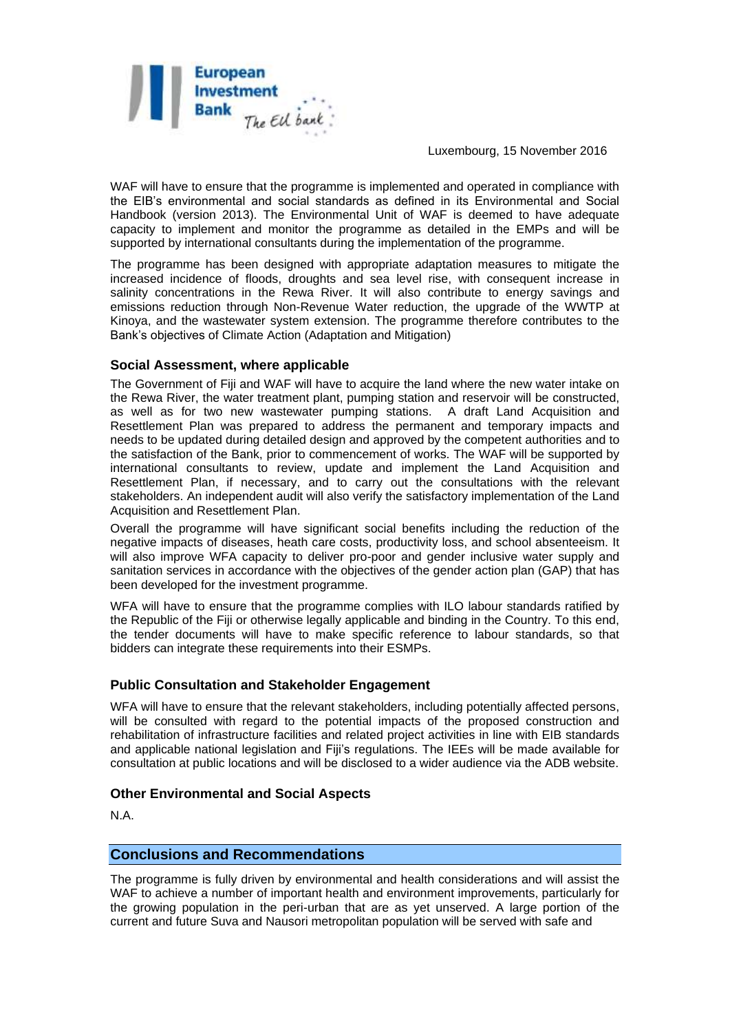

Luxembourg, 15 November 2016

WAF will have to ensure that the programme is implemented and operated in compliance with the EIB's environmental and social standards as defined in its Environmental and Social Handbook (version 2013). The Environmental Unit of WAF is deemed to have adequate capacity to implement and monitor the programme as detailed in the EMPs and will be supported by international consultants during the implementation of the programme.

The programme has been designed with appropriate adaptation measures to mitigate the increased incidence of floods, droughts and sea level rise, with consequent increase in salinity concentrations in the Rewa River. It will also contribute to energy savings and emissions reduction through Non-Revenue Water reduction, the upgrade of the WWTP at Kinoya, and the wastewater system extension. The programme therefore contributes to the Bank's objectives of Climate Action (Adaptation and Mitigation)

### **Social Assessment, where applicable**

The Government of Fiji and WAF will have to acquire the land where the new water intake on the Rewa River, the water treatment plant, pumping station and reservoir will be constructed, as well as for two new wastewater pumping stations. A draft Land Acquisition and Resettlement Plan was prepared to address the permanent and temporary impacts and needs to be updated during detailed design and approved by the competent authorities and to the satisfaction of the Bank, prior to commencement of works. The WAF will be supported by international consultants to review, update and implement the Land Acquisition and Resettlement Plan, if necessary, and to carry out the consultations with the relevant stakeholders. An independent audit will also verify the satisfactory implementation of the Land Acquisition and Resettlement Plan.

Overall the programme will have significant social benefits including the reduction of the negative impacts of diseases, heath care costs, productivity loss, and school absenteeism. It will also improve WFA capacity to deliver pro-poor and gender inclusive water supply and sanitation services in accordance with the objectives of the gender action plan (GAP) that has been developed for the investment programme.

WFA will have to ensure that the programme complies with ILO labour standards ratified by the Republic of the Fiji or otherwise legally applicable and binding in the Country. To this end, the tender documents will have to make specific reference to labour standards, so that bidders can integrate these requirements into their ESMPs.

## **Public Consultation and Stakeholder Engagement**

WFA will have to ensure that the relevant stakeholders, including potentially affected persons, will be consulted with regard to the potential impacts of the proposed construction and rehabilitation of infrastructure facilities and related project activities in line with EIB standards and applicable national legislation and Fiji's regulations. The IEEs will be made available for consultation at public locations and will be disclosed to a wider audience via the ADB website.

### **Other Environmental and Social Aspects**

N.A.

## **Conclusions and Recommendations**

The programme is fully driven by environmental and health considerations and will assist the WAF to achieve a number of important health and environment improvements, particularly for the growing population in the peri-urban that are as yet unserved. A large portion of the current and future Suva and Nausori metropolitan population will be served with safe and